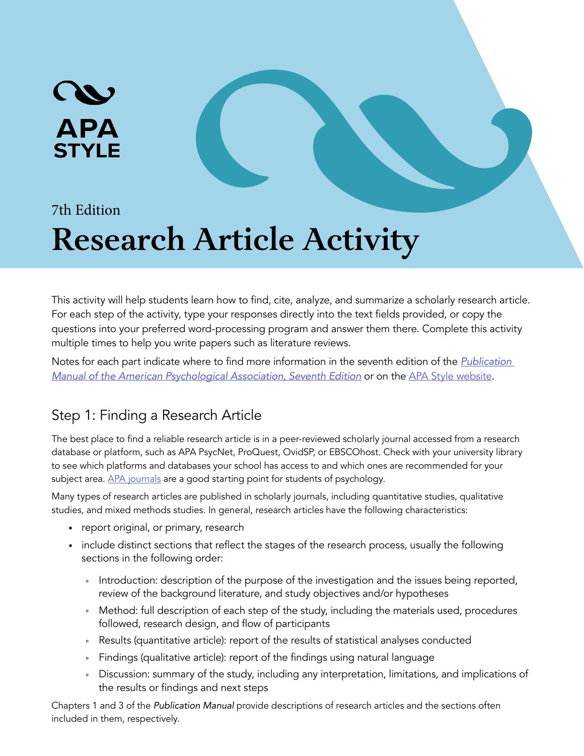# **APA STYLE**

#### 7th Edition

## **Research Article Activity**

This activity will help students learn how to find, cite, analyze, and summarize a scholarly research article. For each step of the activity, type your responses directly into the text fields provided, or copy the questions into your preferred word-processing program and answer them there. Complete this activity multiple times to help you write papers such as literature reviews.

Notes for each part indicate where to find more information in the seventh edition of the *[Publication](https://apastyle.apa.org/products/publication-manual-7th-edition)  [Manual of the American Psychological Association,](https://apastyle.apa.org/products/publication-manual-7th-edition) Seventh Edition* or on the [APA Style website](https://apastyle.apa.org/).

#### Step 1: Finding a Research Article

The best place to find a reliable research article is in a peer-reviewed scholarly journal accessed from a research database or platform, such as APA PsycNet, ProQuest, OvidSP, or EBSCOhost. Check with your university library to see which platforms and databases your school has access to and which ones are recommended for your subject area. [APA journals](https://www.apa.org/pubs/journals/) are a good starting point for students of psychology.

Many types of research articles are published in scholarly journals, including quantitative studies, qualitative studies, and mixed methods studies. In general, research articles have the following characteristics:

- report original, or primary, research
- include distinct sections that reflect the stages of the research process, usually the following sections in the following order:
	- ° Introduction: description of the purpose of the investigation and the issues being reported, review of the background literature, and study objectives and/or hypotheses
	- ° Method: full description of each step of the study, including the materials used, procedures followed, research design, and flow of participants
	- Results (quantitative article): report of the results of statistical analyses conducted
	- ° Findings (qualitative article): report of the findings using natural language
	- ° Discussion: summary of the study, including any interpretation, limitations, and implications of the results or findings and next steps

Chapters 1 and 3 of the *Publication Manual* provide descriptions of research articles and the sections often included in them, respectively.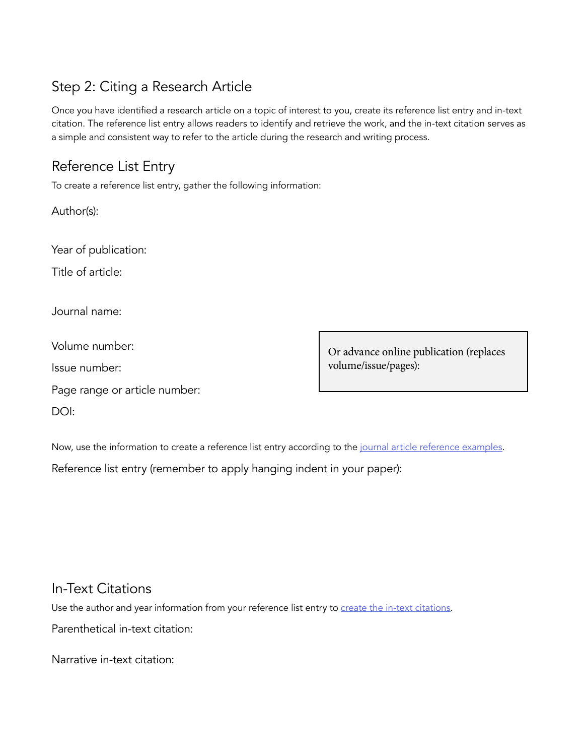### Step 2: Citing a Research Article

Once you have identified a research article on a topic of interest to you, create its reference list entry and in-text citation. The reference list entry allows readers to identify and retrieve the work, and the in-text citation serves as a simple and consistent way to refer to the article during the research and writing process.

### Reference List Entry

To create a reference list entry, gather the following information:

Author(s):

Year of publication:

Title of article:

Journal name:

Volume number:

Issue number:

Page range or article number:

DOI:

volume/issue/pages):

Or advance online publication (replaces

Now, use the information to create a reference list entry according to the [journal article reference examples.](https://apastyle.apa.org/style-grammar-guidelines/references/examples/journal-article-references)

Reference list entry (remember to apply hanging indent in your paper):

#### In-Text Citations

Use the author and year information from your reference list entry to [create the in-text citations](https://apastyle.apa.org/style-grammar-guidelines/citations/basic-principles/author-date).

Parenthetical in-text citation:

Narrative in-text citation: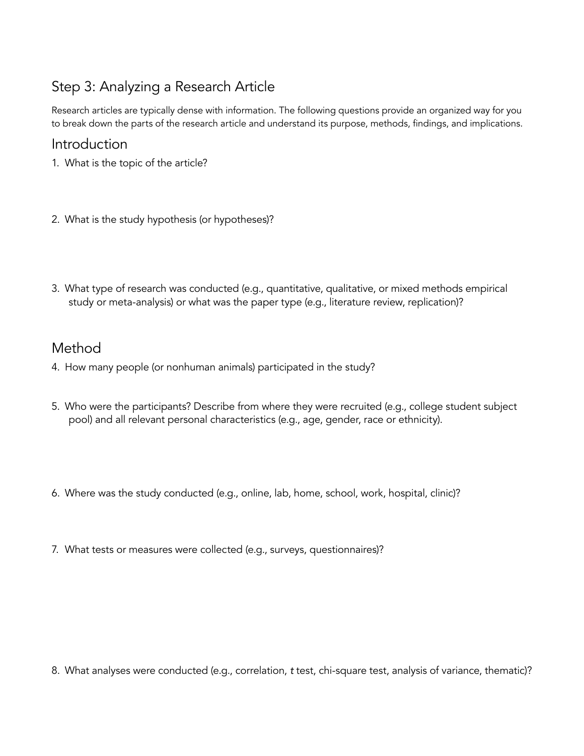#### Step 3: Analyzing a Research Article

Research articles are typically dense with information. The following questions provide an organized way for you to break down the parts of the research article and understand its purpose, methods, findings, and implications.

#### Introduction

- 1. What is the topic of the article?
- 2. What is the study hypothesis (or hypotheses)?
- 3. What type of research was conducted (e.g., quantitative, qualitative, or mixed methods empirical study or meta-analysis) or what was the paper type (e.g., literature review, replication)?

#### Method

- 4. How many people (or nonhuman animals) participated in the study?
- 5. Who were the participants? Describe from where they were recruited (e.g., college student subject pool) and all relevant personal characteristics (e.g., age, gender, race or ethnicity).
- 6. Where was the study conducted (e.g., online, lab, home, school, work, hospital, clinic)?
- 7. What tests or measures were collected (e.g., surveys, questionnaires)?

8. What analyses were conducted (e.g., correlation, *t* test, chi-square test, analysis of variance, thematic)?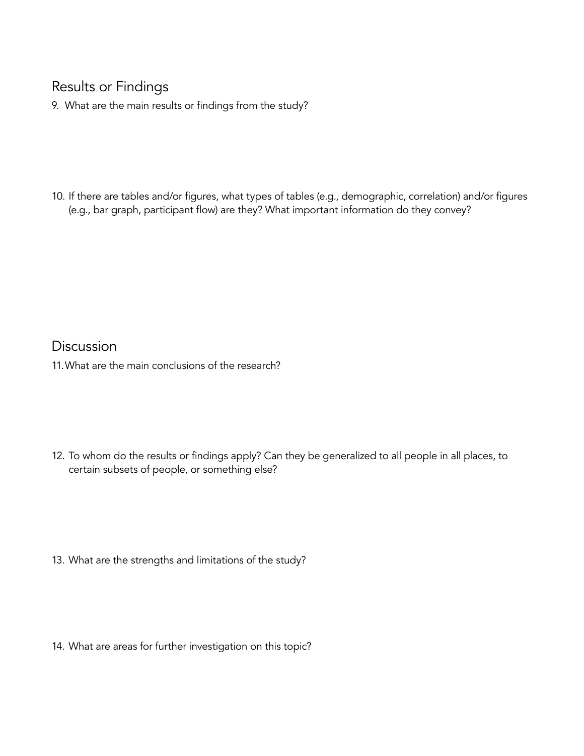#### Results or Findings

9. What are the main results or findings from the study?

10. If there are tables and/or figures, what types of tables (e.g., demographic, correlation) and/or figures (e.g., bar graph, participant flow) are they? What important information do they convey?

Discussion 11.What are the main conclusions of the research?

12. To whom do the results or findings apply? Can they be generalized to all people in all places, to certain subsets of people, or something else?

13. What are the strengths and limitations of the study?

14. What are areas for further investigation on this topic?